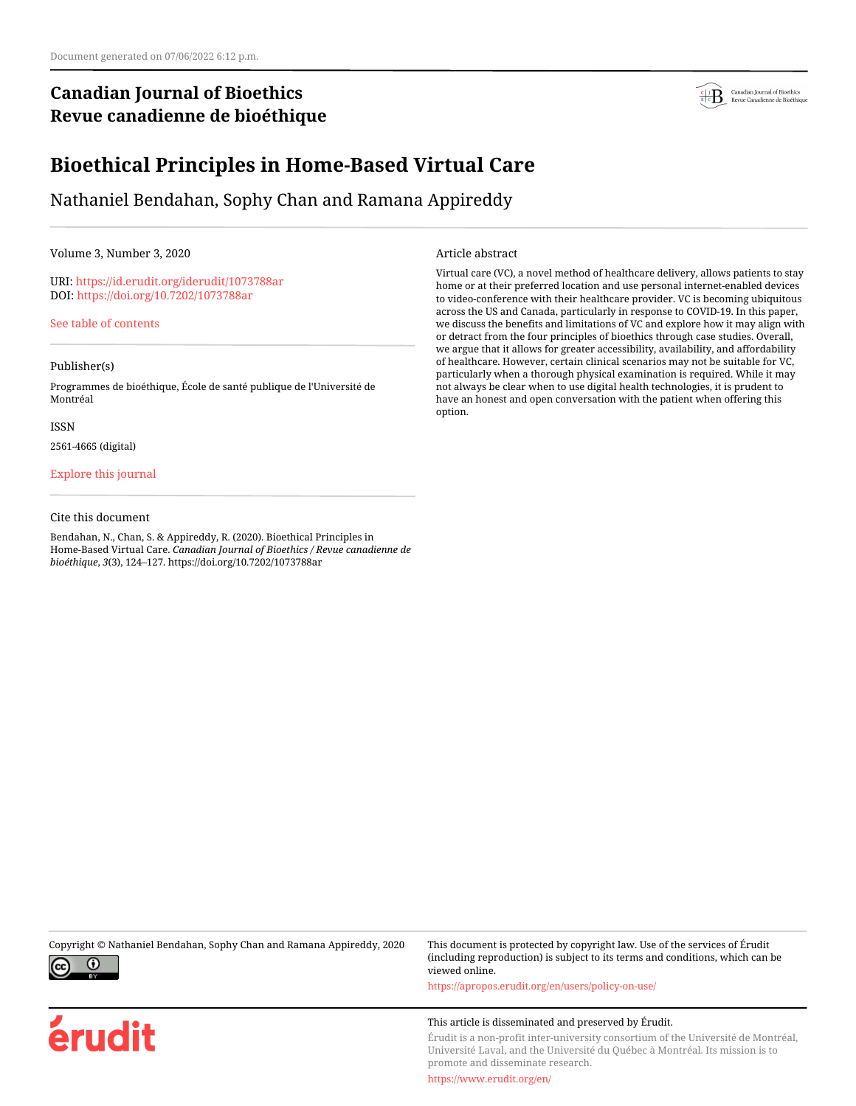# **Canadian Journal of Bioethics Revue canadienne de bioéthique**



# **Bioethical Principles in Home-Based Virtual Care**

Nathaniel Bendahan, Sophy Chan and Ramana Appireddy

Volume 3, Number 3, 2020

URI:<https://id.erudit.org/iderudit/1073788ar> DOI:<https://doi.org/10.7202/1073788ar>

[See table of contents](https://www.erudit.org/en/journals/bioethics/2020-v3-n3-bioethics05693/)

### Publisher(s)

Programmes de bioéthique, École de santé publique de l'Université de Montréal

ISSN

2561-4665 (digital)

[Explore this journal](https://www.erudit.org/en/journals/bioethics/)

### Cite this document

Bendahan, N., Chan, S. & Appireddy, R. (2020). Bioethical Principles in Home-Based Virtual Care. *Canadian Journal of Bioethics / Revue canadienne de bioéthique*, *3*(3), 124–127. https://doi.org/10.7202/1073788ar

Article abstract

Virtual care (VC), a novel method of healthcare delivery, allows patients to stay home or at their preferred location and use personal internet-enabled devices to video-conference with their healthcare provider. VC is becoming ubiquitous across the US and Canada, particularly in response to COVID-19. In this paper, we discuss the benefits and limitations of VC and explore how it may align with or detract from the four principles of bioethics through case studies. Overall, we argue that it allows for greater accessibility, availability, and affordability of healthcare. However, certain clinical scenarios may not be suitable for VC, particularly when a thorough physical examination is required. While it may not always be clear when to use digital health technologies, it is prudent to have an honest and open conversation with the patient when offering this option.



érudit

Copyright © Nathaniel Bendahan, Sophy Chan and Ramana Appireddy, 2020 This document is protected by copyright law. Use of the services of Érudit (including reproduction) is subject to its terms and conditions, which can be viewed online.

<https://apropos.erudit.org/en/users/policy-on-use/>

### This article is disseminated and preserved by Érudit.

Érudit is a non-profit inter-university consortium of the Université de Montréal, Université Laval, and the Université du Québec à Montréal. Its mission is to promote and disseminate research.

<https://www.erudit.org/en/>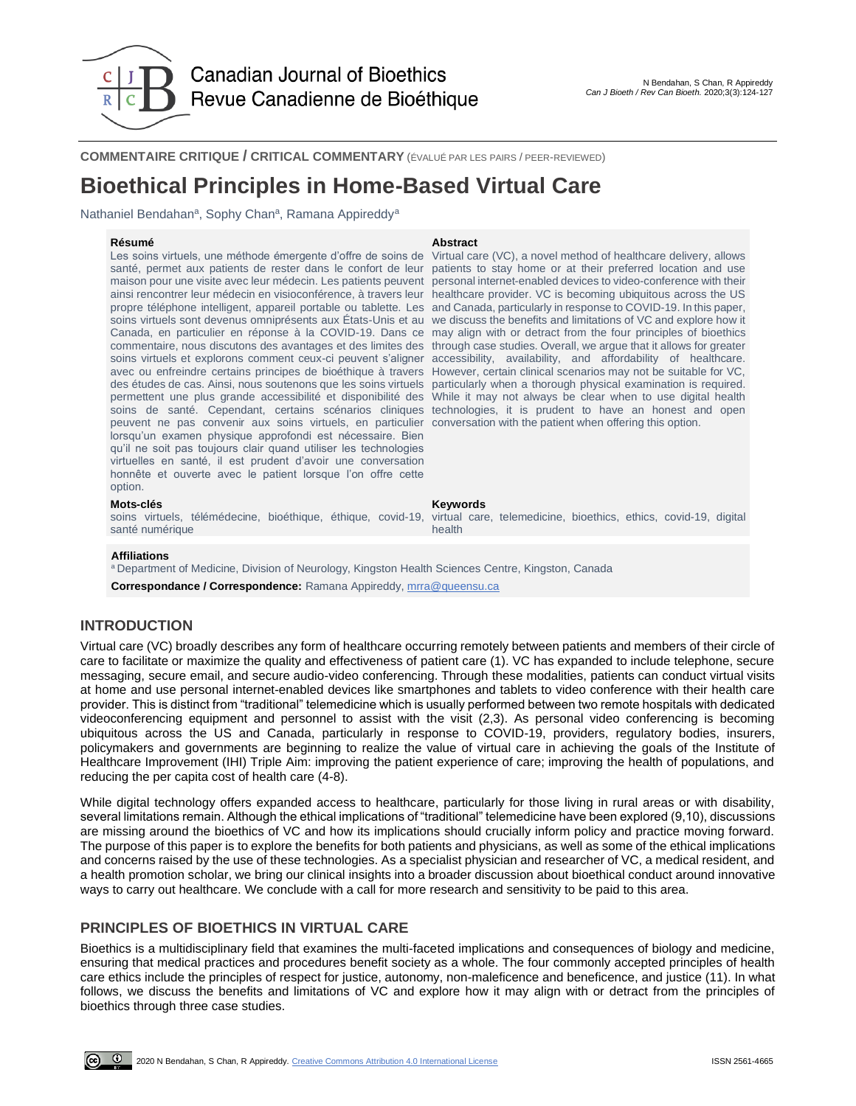

**COMMENTAIRE CRITIQUE / CRITICAL COMMENTARY** (ÉVALUÉ PAR LES PAIRS / PEER-REVIEWED)

# **Bioethical Principles in Home-Based Virtual Care**

Nathaniel Bendahan<sup>a</sup>, Sophy Chan<sup>a</sup>, Ramana Appireddy<sup>a</sup>

Les soins virtuels, une méthode émergente d'offre de soins de santé, permet aux patients de rester dans le confort de leur maison pour une visite avec leur médecin. Les patients peuvent ainsi rencontrer leur médecin en visioconférence, à travers leur propre téléphone intelligent, appareil portable ou tablette. Les and Canada, particularly in response to COVID-19. In this paper, soins virtuels sont devenus omniprésents aux États-Unis et au Canada, en particulier en réponse à la COVID-19. Dans ce commentaire, nous discutons des avantages et des limites des soins virtuels et explorons comment ceux-ci peuvent s'aligner accessibility, availability, and affordability of healthcare. avec ou enfreindre certains principes de bioéthique à travers However, certain clinical scenarios may not be suitable for VC, des études de cas. Ainsi, nous soutenons que les soins virtuels permettent une plus grande accessibilité et disponibilité des soins de santé. Cependant, certains scénarios cliniques technologies, it is prudent to have an honest and open peuvent ne pas convenir aux soins virtuels, en particulier conversation with the patient when offering this option. lorsqu'un examen physique approfondi est nécessaire. Bien qu'il ne soit pas toujours clair quand utiliser les technologies virtuelles en santé, il est prudent d'avoir une conversation honnête et ouverte avec le patient lorsque l'on offre cette option.

### **Résumé Abstract**

Virtual care (VC), a novel method of healthcare delivery, allows patients to stay home or at their preferred location and use personal internet-enabled devices to video-conference with their healthcare provider. VC is becoming ubiquitous across the US we discuss the benefits and limitations of VC and explore how it may align with or detract from the four principles of bioethics through case studies. Overall, we argue that it allows for greater particularly when a thorough physical examination is required. While it may not always be clear when to use digital health

**Mots-clés Keywords** soins virtuels, télémédecine, bioéthique, éthique, covid-19, santé numérique

virtual care, telemedicine, bioethics, ethics, covid-19, digital health

#### **Affiliations**

a Department of Medicine, Division of Neurology, Kingston Health Sciences Centre, Kingston, Canada **Correspondance / Correspondence:** Ramana Appireddy[, mrra@queensu.ca](mailto:mrra@queensu.ca)

# **INTRODUCTION**

Virtual care (VC) broadly describes any form of healthcare occurring remotely between patients and members of their circle of care to facilitate or maximize the quality and effectiveness of patient care (1). VC has expanded to include telephone, secure messaging, secure email, and secure audio-video conferencing. Through these modalities, patients can conduct virtual visits at home and use personal internet-enabled devices like smartphones and tablets to video conference with their health care provider. This is distinct from "traditional" telemedicine which is usually performed between two remote hospitals with dedicated videoconferencing equipment and personnel to assist with the visit (2,3). As personal video conferencing is becoming ubiquitous across the US and Canada, particularly in response to COVID-19, providers, regulatory bodies, insurers, policymakers and governments are beginning to realize the value of virtual care in achieving the goals of the Institute of Healthcare Improvement (IHI) Triple Aim: improving the patient experience of care; improving the health of populations, and reducing the per capita cost of health care (4-8).

While digital technology offers expanded access to healthcare, particularly for those living in rural areas or with disability, several limitations remain. Although the ethical implications of "traditional" telemedicine have been explored (9,10), discussions are missing around the bioethics of VC and how its implications should crucially inform policy and practice moving forward. The purpose of this paper is to explore the benefits for both patients and physicians, as well as some of the ethical implications and concerns raised by the use of these technologies. As a specialist physician and researcher of VC, a medical resident, and a health promotion scholar, we bring our clinical insights into a broader discussion about bioethical conduct around innovative ways to carry out healthcare. We conclude with a call for more research and sensitivity to be paid to this area.

# **PRINCIPLES OF BIOETHICS IN VIRTUAL CARE**

Bioethics is a multidisciplinary field that examines the multi-faceted implications and consequences of biology and medicine, ensuring that medical practices and procedures benefit society as a whole. The four commonly accepted principles of health care ethics include the principles of respect for justice, autonomy, non-maleficence and beneficence, and justice (11). In what follows, we discuss the benefits and limitations of VC and explore how it may align with or detract from the principles of bioethics through three case studies.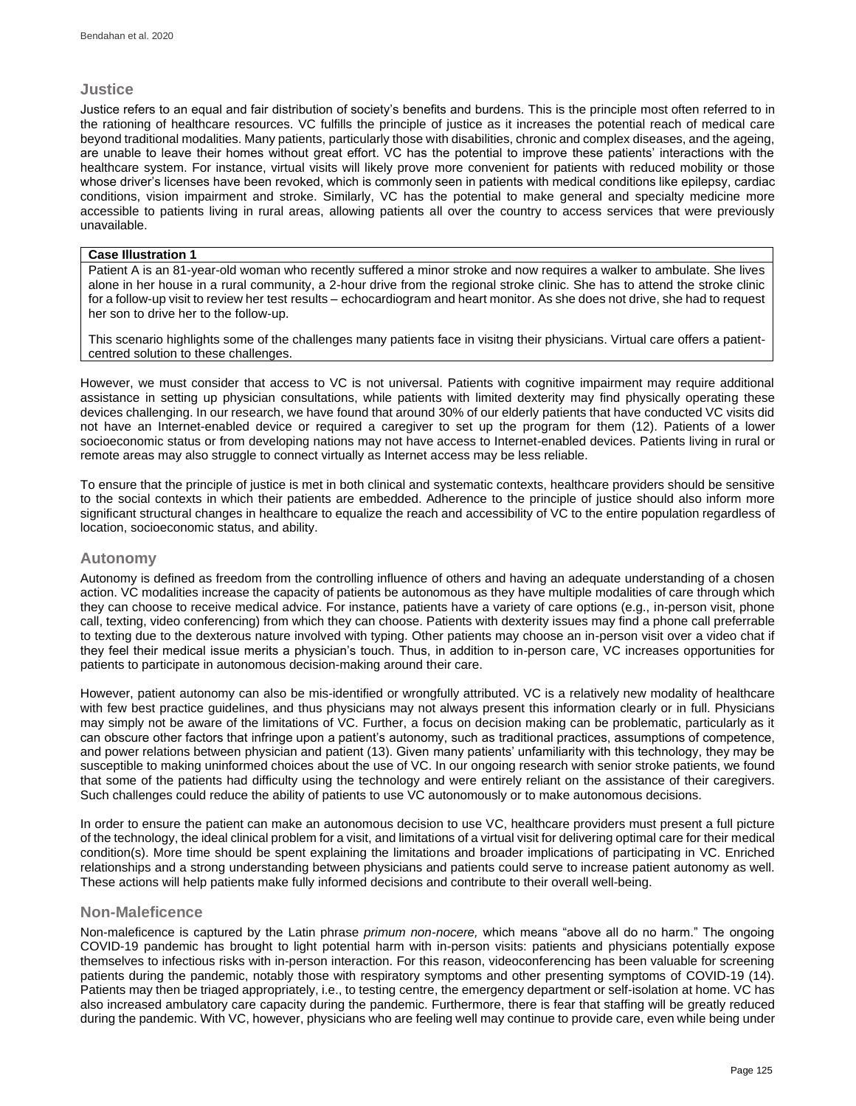# **Justice**

Justice refers to an equal and fair distribution of society's benefits and burdens. This is the principle most often referred to in the rationing of healthcare resources. VC fulfills the principle of justice as it increases the potential reach of medical care beyond traditional modalities. Many patients, particularly those with disabilities, chronic and complex diseases, and the ageing, are unable to leave their homes without great effort. VC has the potential to improve these patients' interactions with the healthcare system. For instance, virtual visits will likely prove more convenient for patients with reduced mobility or those whose driver's licenses have been revoked, which is commonly seen in patients with medical conditions like epilepsy, cardiac conditions, vision impairment and stroke. Similarly, VC has the potential to make general and specialty medicine more accessible to patients living in rural areas, allowing patients all over the country to access services that were previously unavailable.

# **Case Illustration 1**

Patient A is an 81-year-old woman who recently suffered a minor stroke and now requires a walker to ambulate. She lives alone in her house in a rural community, a 2-hour drive from the regional stroke clinic. She has to attend the stroke clinic for a follow-up visit to review her test results – echocardiogram and heart monitor. As she does not drive, she had to request her son to drive her to the follow-up.

This scenario highlights some of the challenges many patients face in visitng their physicians. Virtual care offers a patientcentred solution to these challenges.

However, we must consider that access to VC is not universal. Patients with cognitive impairment may require additional assistance in setting up physician consultations, while patients with limited dexterity may find physically operating these devices challenging. In our research, we have found that around 30% of our elderly patients that have conducted VC visits did not have an Internet-enabled device or required a caregiver to set up the program for them (12). Patients of a lower socioeconomic status or from developing nations may not have access to Internet-enabled devices. Patients living in rural or remote areas may also struggle to connect virtually as Internet access may be less reliable.

To ensure that the principle of justice is met in both clinical and systematic contexts, healthcare providers should be sensitive to the social contexts in which their patients are embedded. Adherence to the principle of justice should also inform more significant structural changes in healthcare to equalize the reach and accessibility of VC to the entire population regardless of location, socioeconomic status, and ability.

# **Autonomy**

Autonomy is defined as freedom from the controlling influence of others and having an adequate understanding of a chosen action. VC modalities increase the capacity of patients be autonomous as they have multiple modalities of care through which they can choose to receive medical advice. For instance, patients have a variety of care options (e.g., in-person visit, phone call, texting, video conferencing) from which they can choose. Patients with dexterity issues may find a phone call preferrable to texting due to the dexterous nature involved with typing. Other patients may choose an in-person visit over a video chat if they feel their medical issue merits a physician's touch. Thus, in addition to in-person care, VC increases opportunities for patients to participate in autonomous decision-making around their care.

However, patient autonomy can also be mis-identified or wrongfully attributed. VC is a relatively new modality of healthcare with few best practice guidelines, and thus physicians may not always present this information clearly or in full. Physicians may simply not be aware of the limitations of VC. Further, a focus on decision making can be problematic, particularly as it can obscure other factors that infringe upon a patient's autonomy, such as traditional practices, assumptions of competence, and power relations between physician and patient (13). Given many patients' unfamiliarity with this technology, they may be susceptible to making uninformed choices about the use of VC. In our ongoing research with senior stroke patients, we found that some of the patients had difficulty using the technology and were entirely reliant on the assistance of their caregivers. Such challenges could reduce the ability of patients to use VC autonomously or to make autonomous decisions.

In order to ensure the patient can make an autonomous decision to use VC, healthcare providers must present a full picture of the technology, the ideal clinical problem for a visit, and limitations of a virtual visit for delivering optimal care for their medical condition(s). More time should be spent explaining the limitations and broader implications of participating in VC. Enriched relationships and a strong understanding between physicians and patients could serve to increase patient autonomy as well. These actions will help patients make fully informed decisions and contribute to their overall well-being.

# **Non-Maleficence**

Non-maleficence is captured by the Latin phrase *primum non-nocere,* which means "above all do no harm." The ongoing COVID-19 pandemic has brought to light potential harm with in-person visits: patients and physicians potentially expose themselves to infectious risks with in-person interaction. For this reason, videoconferencing has been valuable for screening patients during the pandemic, notably those with respiratory symptoms and other presenting symptoms of COVID-19 (14). Patients may then be triaged appropriately, i.e., to testing centre, the emergency department or self-isolation at home. VC has also increased ambulatory care capacity during the pandemic. Furthermore, there is fear that staffing will be greatly reduced during the pandemic. With VC, however, physicians who are feeling well may continue to provide care, even while being under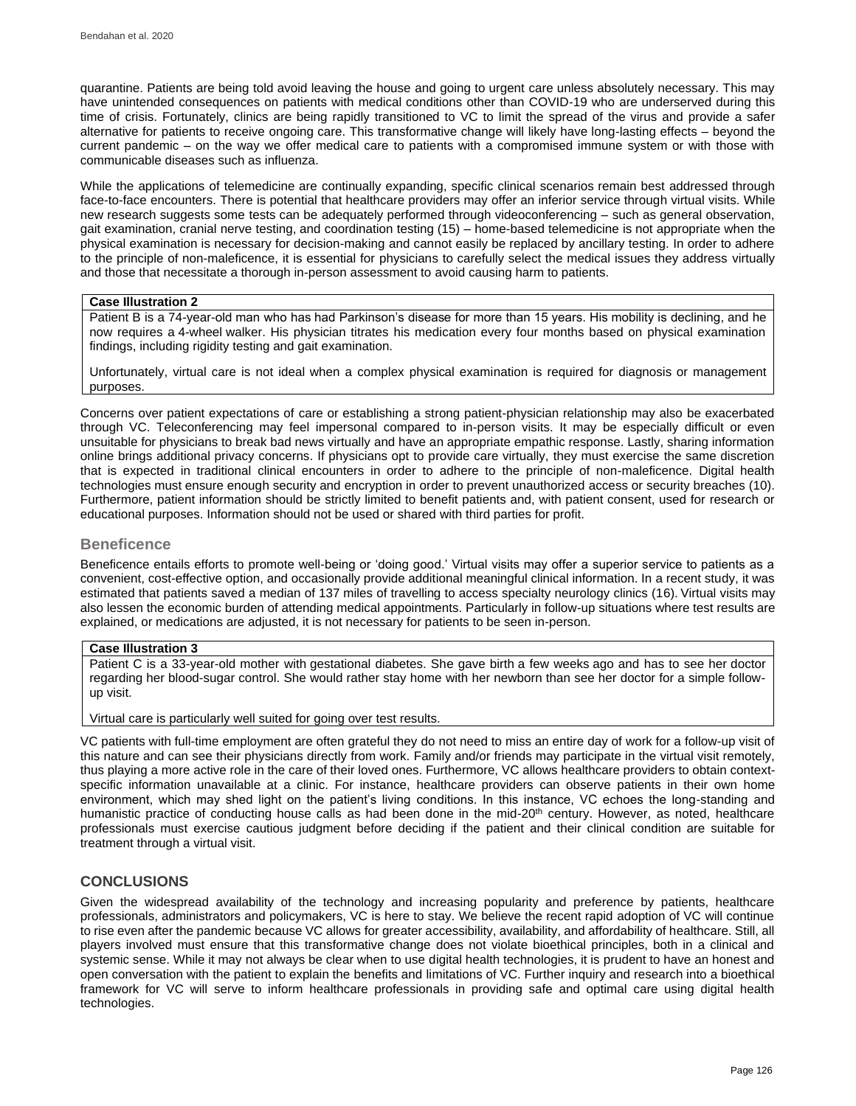quarantine. Patients are being told avoid leaving the house and going to urgent care unless absolutely necessary. This may have unintended consequences on patients with medical conditions other than COVID-19 who are underserved during this time of crisis. Fortunately, clinics are being rapidly transitioned to VC to limit the spread of the virus and provide a safer alternative for patients to receive ongoing care. This transformative change will likely have long-lasting effects – beyond the current pandemic – on the way we offer medical care to patients with a compromised immune system or with those with communicable diseases such as influenza.

While the applications of telemedicine are continually expanding, specific clinical scenarios remain best addressed through face-to-face encounters. There is potential that healthcare providers may offer an inferior service through virtual visits. While new research suggests some tests can be adequately performed through videoconferencing – such as general observation, gait examination, cranial nerve testing, and coordination testing (15) – home-based telemedicine is not appropriate when the physical examination is necessary for decision-making and cannot easily be replaced by ancillary testing. In order to adhere to the principle of non-maleficence, it is essential for physicians to carefully select the medical issues they address virtually and those that necessitate a thorough in-person assessment to avoid causing harm to patients.

## **Case Illustration 2**

Patient B is a 74-year-old man who has had Parkinson's disease for more than 15 years. His mobility is declining, and he now requires a 4-wheel walker. His physician titrates his medication every four months based on physical examination findings, including rigidity testing and gait examination.

Unfortunately, virtual care is not ideal when a complex physical examination is required for diagnosis or management purposes.

Concerns over patient expectations of care or establishing a strong patient-physician relationship may also be exacerbated through VC. Teleconferencing may feel impersonal compared to in-person visits. It may be especially difficult or even unsuitable for physicians to break bad news virtually and have an appropriate empathic response. Lastly, sharing information online brings additional privacy concerns. If physicians opt to provide care virtually, they must exercise the same discretion that is expected in traditional clinical encounters in order to adhere to the principle of non-maleficence. Digital health technologies must ensure enough security and encryption in order to prevent unauthorized access or security breaches (10). Furthermore, patient information should be strictly limited to benefit patients and, with patient consent, used for research or educational purposes. Information should not be used or shared with third parties for profit.

# **Beneficence**

Beneficence entails efforts to promote well-being or 'doing good.' Virtual visits may offer a superior service to patients as a convenient, cost-effective option, and occasionally provide additional meaningful clinical information. In a recent study, it was estimated that patients saved a median of 137 miles of travelling to access specialty neurology clinics (16). Virtual visits may also lessen the economic burden of attending medical appointments. Particularly in follow-up situations where test results are explained, or medications are adjusted, it is not necessary for patients to be seen in-person.

## **Case Illustration 3**

Patient C is a 33-year-old mother with gestational diabetes. She gave birth a few weeks ago and has to see her doctor regarding her blood-sugar control. She would rather stay home with her newborn than see her doctor for a simple followup visit.

### Virtual care is particularly well suited for going over test results.

VC patients with full-time employment are often grateful they do not need to miss an entire day of work for a follow-up visit of this nature and can see their physicians directly from work. Family and/or friends may participate in the virtual visit remotely, thus playing a more active role in the care of their loved ones. Furthermore, VC allows healthcare providers to obtain contextspecific information unavailable at a clinic. For instance, healthcare providers can observe patients in their own home environment, which may shed light on the patient's living conditions. In this instance, VC echoes the long-standing and humanistic practice of conducting house calls as had been done in the mid-20<sup>th</sup> century. However, as noted, healthcare professionals must exercise cautious judgment before deciding if the patient and their clinical condition are suitable for treatment through a virtual visit.

# **CONCLUSIONS**

Given the widespread availability of the technology and increasing popularity and preference by patients, healthcare professionals, administrators and policymakers, VC is here to stay. We believe the recent rapid adoption of VC will continue to rise even after the pandemic because VC allows for greater accessibility, availability, and affordability of healthcare. Still, all players involved must ensure that this transformative change does not violate bioethical principles, both in a clinical and systemic sense. While it may not always be clear when to use digital health technologies, it is prudent to have an honest and open conversation with the patient to explain the benefits and limitations of VC. Further inquiry and research into a bioethical framework for VC will serve to inform healthcare professionals in providing safe and optimal care using digital health technologies.